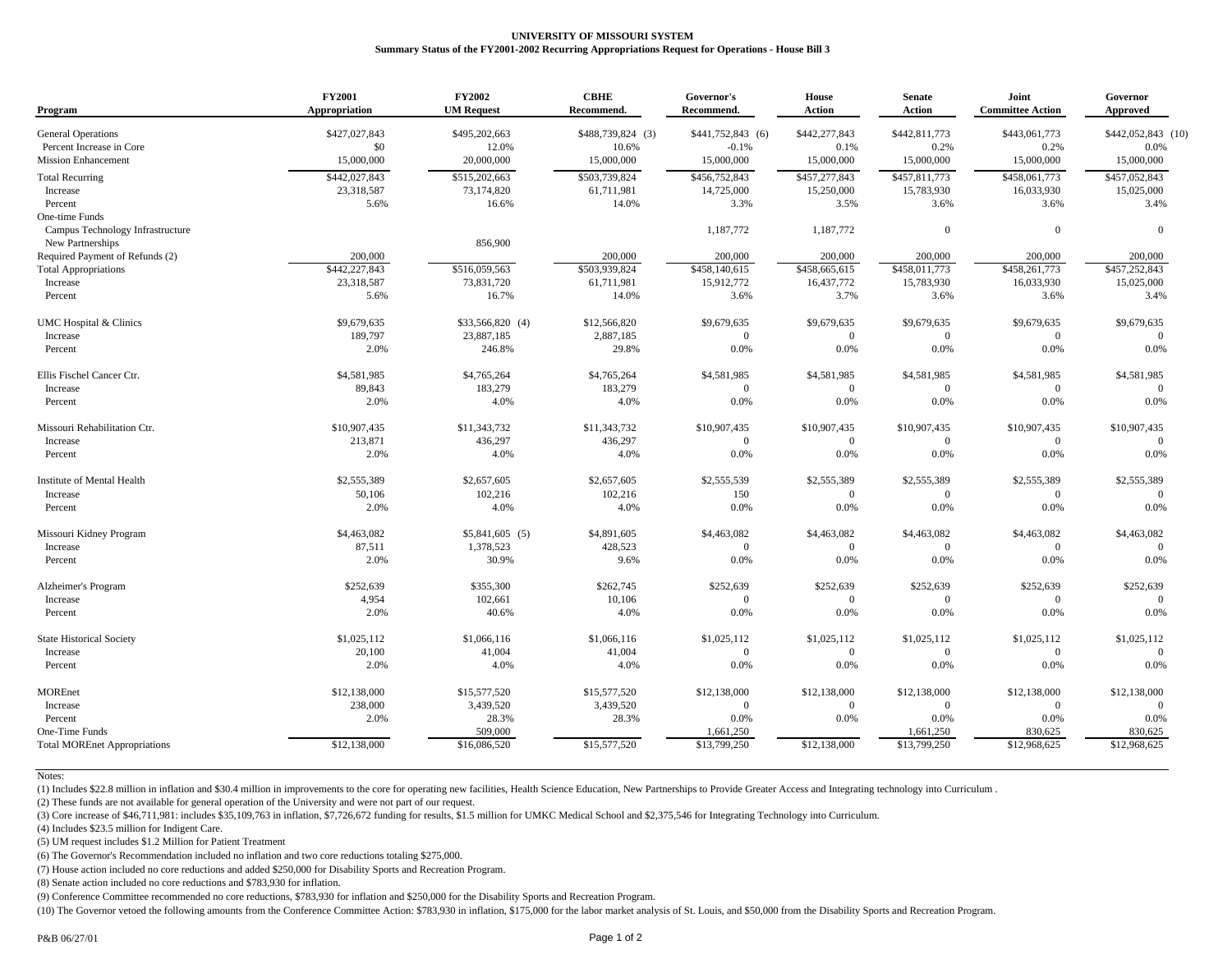## **UNIVERSITY OF MISSOURI SYSTEM Summary Status of the FY2001-2002 Recurring Appropriations Request for Operations - House Bill 3**

| Program                             | <b>FY2001</b><br><b>Appropriation</b> | <b>FY2002</b><br><b>UM Request</b> | <b>CBHE</b><br>Recommend. | Governor's<br>Recommend. | <b>House</b><br><b>Action</b> | <b>Senate</b><br><b>Action</b> | Joint<br><b>Committee Action</b> | Governor<br><b>Approved</b> |
|-------------------------------------|---------------------------------------|------------------------------------|---------------------------|--------------------------|-------------------------------|--------------------------------|----------------------------------|-----------------------------|
| <b>General Operations</b>           | \$427,027,843                         | \$495,202,663                      | \$488,739,824 (3)         | \$441,752,843 (6)        | \$442,277,843                 | \$442,811,773                  | \$443,061,773                    | \$442,052,843 (10)          |
| Percent Increase in Core            | \$0                                   | 12.0%                              | 10.6%                     | $-0.1%$                  | 0.1%                          | 0.2%                           | 0.2%                             | 0.0%                        |
| <b>Mission Enhancement</b>          | 15,000,000                            | 20,000,000                         | 15,000,000                | 15,000,000               | 15,000,000                    | 15,000,000                     | 15,000,000                       | 15,000,000                  |
| <b>Total Recurring</b>              | \$442,027,843                         | \$515,202,663                      | \$503,739,824             | \$456,752,843            | \$457,277,843                 | \$457,811,773                  | \$458,061,773                    | \$457,052,843               |
| Increase                            | 23,318,587                            | 73,174,820                         | 61,711,981                | 14,725,000               | 15,250,000                    | 15,783,930                     | 16,033,930                       | 15,025,000                  |
| Percent                             | 5.6%                                  | 16.6%                              | 14.0%                     | 3.3%                     | 3.5%                          | 3.6%                           | 3.6%                             | 3.4%                        |
| One-time Funds                      |                                       |                                    |                           |                          |                               |                                |                                  |                             |
| Campus Technology Infrastructure    |                                       |                                    |                           | 1,187,772                | 1,187,772                     | $\overline{0}$                 | $\overline{0}$                   | $\Omega$                    |
| New Partnerships                    |                                       | 856,900                            |                           |                          |                               |                                |                                  |                             |
| Required Payment of Refunds (2)     | 200,000                               |                                    | 200,000                   | 200,000                  | 200,000                       | 200,000                        | 200,000                          | 200,000                     |
| <b>Total Appropriations</b>         | \$442,227,843                         | \$516,059,563                      | \$503,939,824             | \$458,140,615            | \$458,665,615                 | \$458,011,773                  | \$458,261,773                    | \$457,252,843               |
| Increase                            | 23,318,587                            | 73,831,720                         | 61,711,981                | 15,912,772               | 16,437,772                    | 15,783,930                     | 16,033,930                       | 15,025,000                  |
| Percent                             | 5.6%                                  | 16.7%                              | 14.0%                     | 3.6%                     | 3.7%                          | 3.6%                           | 3.6%                             | 3.4%                        |
| UMC Hospital & Clinics              | \$9,679,635                           | \$33,566,820 (4)                   | \$12,566,820              | \$9,679,635              | \$9,679,635                   | \$9,679,635                    | \$9,679,635                      | \$9,679,635                 |
| Increase                            | 189,797                               | 23,887,185                         | 2,887,185                 | $\overline{0}$           | $\overline{0}$                | $\overline{0}$                 | $\mathbf{0}$                     | $\Omega$                    |
| Percent                             | 2.0%                                  | 246.8%                             | 29.8%                     | 0.0%                     | 0.0%                          | 0.0%                           | 0.0%                             | 0.0%                        |
| Ellis Fischel Cancer Ctr.           | \$4,581,985                           | \$4,765,264                        | \$4,765,264               | \$4,581,985              | \$4,581,985                   | \$4,581,985                    | \$4,581,985                      | \$4,581,985                 |
| Increase                            | 89,843                                | 183,279                            | 183,279                   | $\overline{0}$           | $\overline{0}$                | $\overline{0}$                 | $\mathbf{0}$                     | $\Omega$                    |
| Percent                             | 2.0%                                  | 4.0%                               | 4.0%                      | 0.0%                     | 0.0%                          | 0.0%                           | 0.0%                             | 0.0%                        |
| Missouri Rehabilitation Ctr.        | \$10,907,435                          | \$11,343,732                       | \$11,343,732              | \$10,907,435             | \$10,907,435                  | \$10,907,435                   | \$10,907,435                     | \$10,907,435                |
| Increase                            | 213,871                               | 436,297                            | 436,297                   | $\overline{0}$           | $\Omega$                      | $\overline{0}$                 | $\mathbf{0}$                     | $\Omega$                    |
| Percent                             | 2.0%                                  | 4.0%                               | 4.0%                      | 0.0%                     | 0.0%                          | 0.0%                           | 0.0%                             | 0.0%                        |
| Institute of Mental Health          | \$2,555,389                           | \$2,657,605                        | \$2,657,605               | \$2,555,539              | \$2,555,389                   | \$2,555,389                    | \$2,555,389                      | \$2,555,389                 |
| Increase                            | 50,106                                | 102,216                            | 102,216                   | 150                      | $\Omega$                      | $\Omega$                       | $\overline{0}$                   | $\Omega$                    |
| Percent                             | 2.0%                                  | 4.0%                               | 4.0%                      | 0.0%                     | 0.0%                          | 0.0%                           | 0.0%                             | 0.0%                        |
| Missouri Kidney Program             | \$4,463,082                           | $$5,841,605$ (5)                   | \$4,891,605               | \$4,463,082              | \$4,463,082                   | \$4,463,082                    | \$4,463,082                      | \$4,463,082                 |
| Increase                            | 87,511                                | 1,378,523                          | 428,523                   | $\theta$                 | $\theta$                      | $\Omega$                       | $\overline{0}$                   | $\Omega$                    |
| Percent                             | 2.0%                                  | 30.9%                              | 9.6%                      | 0.0%                     | 0.0%                          | 0.0%                           | 0.0%                             | 0.0%                        |
| Alzheimer's Program                 | \$252,639                             | \$355,300                          | \$262,745                 | \$252,639                | \$252,639                     | \$252,639                      | \$252,639                        | \$252,639                   |
| Increase                            | 4,954                                 | 102,661                            | 10,106                    | $\overline{0}$           | $\overline{0}$                | $\overline{0}$                 | $\overline{0}$                   | $\Omega$                    |
| Percent                             | 2.0%                                  | 40.6%                              | 4.0%                      | 0.0%                     | 0.0%                          | 0.0%                           | 0.0%                             | 0.0%                        |
| State Historical Society            | \$1,025,112                           | \$1,066,116                        | \$1,066,116               | \$1,025,112              | \$1,025,112                   | \$1,025,112                    | \$1,025,112                      | \$1,025,112                 |
| Increase                            | 20,100                                | 41,004                             | 41,004                    | $\overline{0}$           | $\overline{0}$                | $\Omega$                       | $\overline{0}$                   |                             |
| Percent                             | 2.0%                                  | 4.0%                               | 4.0%                      | 0.0%                     | 0.0%                          | $0.0\%$                        | 0.0%                             | 0.0%                        |
| <b>MOREnet</b>                      | \$12,138,000                          | \$15,577,520                       | \$15,577,520              | \$12,138,000             | \$12,138,000                  | \$12,138,000                   | \$12,138,000                     | \$12,138,000                |
| Increase                            | 238,000                               | 3,439,520                          | 3,439,520                 | $\overline{0}$           | $\overline{0}$                | $\Omega$                       | $\mathbf{0}$                     |                             |
| Percent                             | 2.0%                                  | 28.3%                              | 28.3%                     | $0.0\%$                  | 0.0%                          | 0.0%                           | 0.0%                             | 0.0%                        |
| One-Time Funds                      |                                       | 509,000                            |                           | 1,661,250                |                               | 1,661,250                      | 830,625                          | 830,625                     |
| <b>Total MOREnet Appropriations</b> | \$12,138,000                          | \$16,086,520                       | \$15,577,520              | \$13,799,250             | \$12,138,000                  | \$13,799,250                   | \$12,968,625                     | \$12,968,625                |

Notes:

(1) Includes \$22.8 million in inflation and \$30.4 million in improvements to the core for operating new facilities, Health Science Education, New Partnerships to Provide Greater Access and Integrating technology into Curri

(2) These funds are not available for general operation of the University and were not part of our request.

(3) Core increase of \$46,711,981: includes \$35,109,763 in inflation, \$7,726,672 funding for results, \$1.5 million for UMKC Medical School and \$2,375,546 for Integrating Technology into Curriculum.

(4) Includes \$23.5 million for Indigent Care.

(5) UM request includes \$1.2 Million for Patient Treatment

(6) The Governor's Recommendation included no inflation and two core reductions totaling \$275,000.

(7) House action included no core reductions and added \$250,000 for Disability Sports and Recreation Program.

(8) Senate action included no core reductions and \$783,930 for inflation.

(9) Conference Committee recommended no core reductions, \$783,930 for inflation and \$250,000 for the Disability Sports and Recreation Program.

(10) The Governor vetoed the following amounts from the Conference Committee Action: \$783,930 in inflation, \$175,000 for the labor market analysis of St. Louis, and \$50,000 from the Disability Sports and Recreation Program.